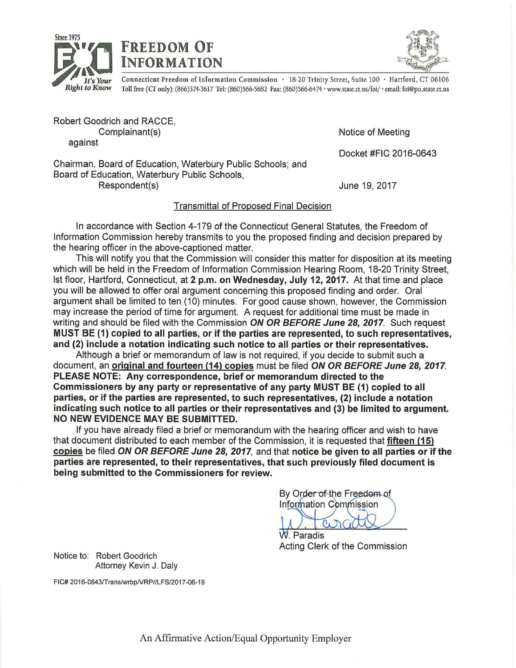





THEORMATION CONNECT CONNECT CONNECT TREATMENT OF THE STATE OF CONNECT ACT ACT AND CONNECT AND CONNECT ACT OF COLOR CONNECT AND CONNECT ACT OF CONNECT ACT OF CONNECT ACT OF CONNECT ACT OF CONNECT ACT OF CONNECT ACT OF CONNE *Right t.o Know* Toll free (CT only): (866)374-3617 Tel: (860)566-5682 Fax: (860)566-6474 · www.state.ct.us/fo1/ · email: foi@po.state.ct.us

Robert Goodrich and RACCE, Complainant(s) against

Notice of Meeting

Docket #FIC 2016-0643

Chairman, Board of Education, Waterbury Public Schools; and Board of Education, Waterbury Public Schools, Respondent(s)

June 19, 2017

## Transmittal of Proposed Final Decision

In accordance with Section 4-179 of the Connecticut General Statutes, the Freedom of Information Commission hereby transmits to you the proposed finding and decision prepared by the hearing officer in the above-captioned matter.

This will notify you that the Commission will consider this matter for disposition at its meeting which will be held in the Freedom of Information Commission Hearing Room, 18-20 Trinity Street, 1st floor, Hartford, Connecticut, at **2 p.m. on Wednesday, July 12, 2017.** At that time and place you will be allowed to offer oral argument concerning this proposed finding and order. Oral argument shall be limited to ten (10) minutes. For good cause shown, however, the Commission may increase the period of time for argument. A request for additional time must be made in writing and should be filed with the Commission **ON OR BEFORE June 28, 2017.** Such request **MUST BE (1) copied to all parties, or if the parties are represented, to such representatives, and (2) include a notation indicating such notice to all parties or their representatives.** 

Although a brief or memorandum of law is not required, if you decide to submit such a document, an **original and fourteen (14) copies** must be filed **ON OR BEFORE June 28, 2017. PLEASE NOTE: Any correspondence, brief or memorandum directed to the Commissioners by any party or representative of any party MUST BE (1) copied to all parties, or if the parties are represented, to such representatives, (2) include a notation indicating such notice to all parties or their representatives and** (3) **be limited to argument. NO NEW EVIDENCE MAY BE SUBMITTED.** 

If you have already filed a brief or memorandum with the hearing officer and wish to have that document distributed to each member of the Commission, it is requested that **fifteen (15) copies** be filed **ON OR BEFORE June 28, 2017,** and that **notice be given to all parties or if the parties are represented, to their representatives, that such previously filed document is being submitted to the Commissioners for review.** 

By Order of the Freedom of Information Commission  $\alpha_{\bullet}$ 

W Paradis Acting Clerk of the Commission

Notice to: Robert Goodrich Attorney Kevin J. Daly

FIC# 2016-0643/Trans/wrbp/VRP//LFS/2017-06-19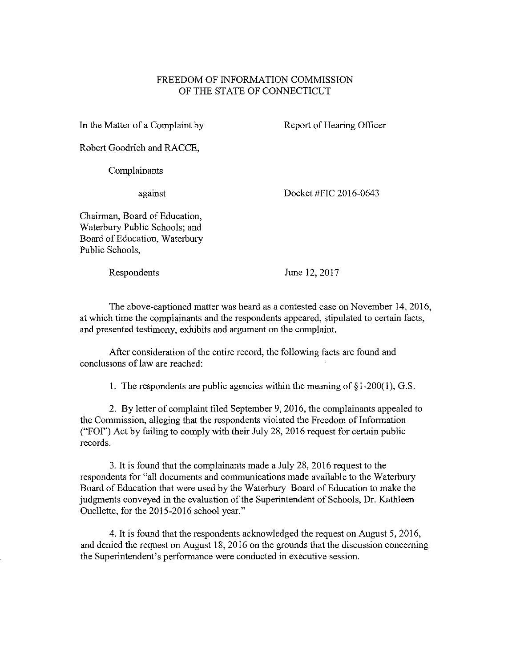## FREEDOM OF INFORMATION COMMISSION OF THE STATE OF CONNECTICUT

In the Matter of a Complaint by

Report of Hearing Officer

Robert Goodrich and RACCE,

Complainants

against

Docket #FIC 2016-0643

Chairman, Board of Education, Waterbury Public Schools; and Board of Education, Waterbury Public Schools,

Respondents

June 12, 2017

The above-captioned matter was heard as a contested case on November 14, 2016, at which time the complainants and the respondents appeared, stipulated to certain facts, and presented testimony, exhibits and argument on the complaint.

After consideration of the entire record, the following facts are found and conclusions of law are reached:

1. The respondents are public agencies within the meaning of  $\S 1-200(1)$ , G.S.

2. By letter of complaint filed September 9, 2016, the complainants appealed to the Conunission, alleging that the respondents violated the Freedom of Information ("FOI") Act by failing to comply with their July 28, 2016 request for certain public records.

3. It is found that the complainants made a July 28, 2016 request to the respondents for "all documents and communications made available to the Waterbury Board of Education that were used by the Waterbury Board of Education to make the judgments conveyed in the evaluation of the Superintendent of Schools, Dr. Kathleen Ouellette, for the 2015-2016 school year."

4. It is found that the respondents acknowledged the request on August 5, 2016, and denied the request on August 18, 2016 on the grounds that the discussion concerning the Superintendent's performance were conducted in executive session.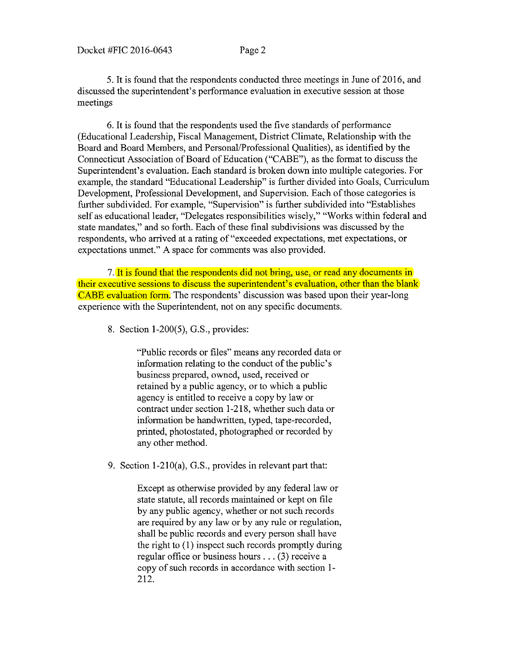5. It is found that the respondents conducted three meetings in June of 2016, and discussed the superintendent's performance evaluation in executive session at those meetings

6. It is found that the respondents used the five standards of performance (Educational Leadership, Fiscal Management, District Climate, Relationship with the Board and Board Members, and Personal/Professional Qualities), as identified by the Connecticut Association of Board of Education ("CABE"), as the fonnat to discuss the Superintendent's evaluation. Each standard is broken down into multiple categories. For example, the standard "Educational Leadership" is further divided into Goals, Curriculum Development, Professional Development, and Supervision. Each of those categories is further subdivided. For example, "Supervision" is further subdivided into "Establishes self as educational leader, "Delegates responsibilities wisely," "Works within federal and state mandates," and so forth. Each of these final subdivisions was discussed by the respondents, who arrived at a rating of "exceeded expectations, met expectations, or expectations unmet." A space for comments was also provided.

7. It is found that the respondents did not bring, use, or read any documents in their executive sessions to discuss the superintendent's evaluation, other than the blank CABE evaluation form. The respondents' discussion was based upon their year-long experience with the Superintendent, not on any specific documents.

8. Section 1-200(5), G.S., provides:

"Public records or files" means any recorded data or information relating to the conduct of the public's business prepared, owned, used, received or retained by a public agency, or to which a public agency is entitled to receive a copy by law or contract under section 1-218, whether such data or information be handwritten, typed, tape-recorded, printed, photostated, photographed or recorded by any other method.

9. Section l-210(a), G.S., provides in relevant part that:

Except as otherwise provided by any federal law or state statute, all records maintained or kept on file by any public agency, whether or not such records are required by any law or by any rule or regulation, shall be public records and every person shall have the right to (I) inspect such records promptly during regular office or business hours ... (3) receive a copy of such records in accordance with section 1- 212.